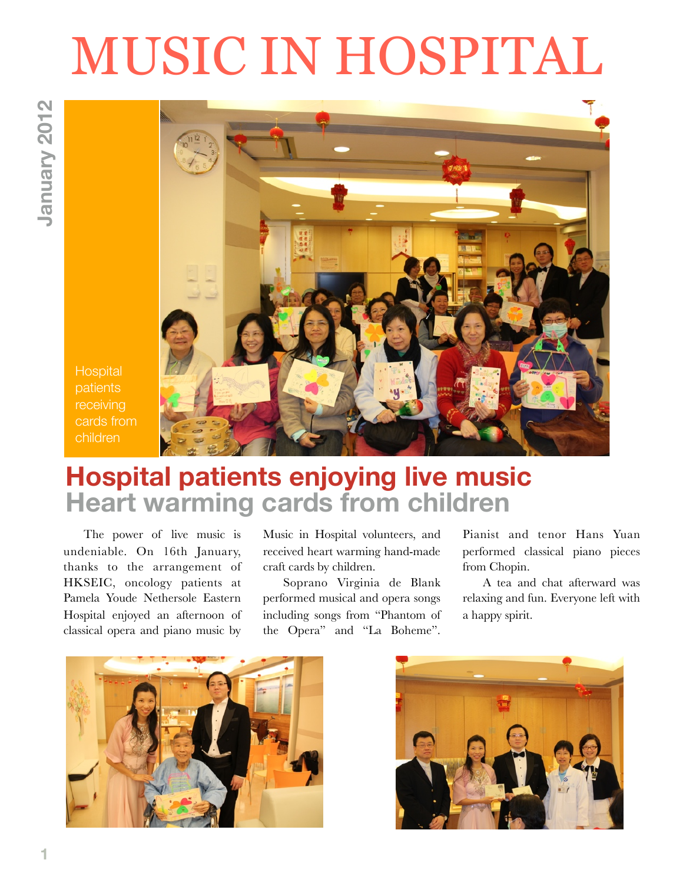# MUSIC IN HOSPITAL



**Hospital** patients receiving cards from children

## **Hospital patients enjoying live music Heart warming cards from children**

The power of live music is undeniable. On 16th January, thanks to the arrangement of HKSEIC, oncology patients at Pamela Youde Nethersole Eastern Hospital enjoyed an afternoon of classical opera and piano music by

Music in Hospital volunteers, and received heart warming hand-made craft cards by children.

Soprano Virginia de Blank performed musical and opera songs including songs from "Phantom of the Opera" and "La Boheme".

Pianist and tenor Hans Yuan performed classical piano pieces from Chopin.

A tea and chat afterward was relaxing and fun. Everyone left with a happy spirit.